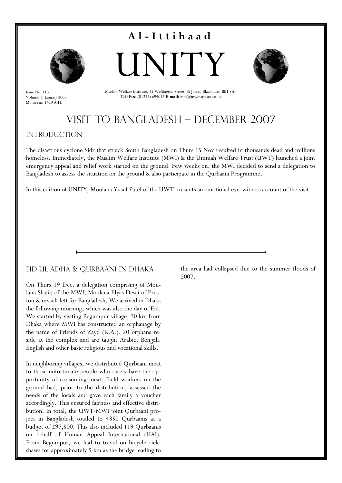

Issue No. 113 Volume 1, January 2008 Moharram 1429 A.H.





Muslim Welfare Institute, 35 Wellington Street, St Johns, Blackburn, BB1 8AF **Tel/Fax:** (01254) 694015 **E-mail:** info@mwinstitute.co.uk

### Visit to Bangladesh – December 2007

#### **INTRODUCTION**

The disastrous cyclone Sidr that struck South Bangladesh on Thurs 15 Nov resulted in thousands dead and millions homeless. Immediately, the Muslim Welfare Institute (MWI) & the Ummah Welfare Trust (UWT) launched a joint emergency appeal and relief work started on the ground. Few weeks on, the MWI decided to send a delegation to Bangladesh to assess the situation on the ground & also participate in the Qurbaani Programme.

In this edition of UNITY, Moulana Yusuf Patel of the UWT presents an emotional eye-witness account of the visit.

#### Eid-ul-Adha & Qurbaani in Dhaka

On Thurs 19 Dec. a delegation comprising of Moulana Shafiq of the MWI, Moulana Elyas Desai of Preston & myself left for Bangladesh. We arrived in Dhaka the following morning, which was also the day of Eid. We started by visiting Begumpur village, 30 km from Dhaka where MWI has constructed an orphanage by the name of Friends of Zayd (R.A.). 20 orphans reside at the complex and are taught Arabic, Bengali, English and other basic religious and vocational skills.

In neighboring villages, we distributed Qurbaani meat to those unfortunate people who rarely have the opportunity of consuming meat. Field workers on the ground had, prior to the distribution, assessed the needs of the locals and gave each family a voucher accordingly. This ensured fairness and effective distribution. In total, the UWT-MWI joint Qurbaani project in Bangladesh totaled to 4350 Qurbaanis at a budget of £97,500. This also included 119 Qurbaanis on behalf of Human Appeal International (HAI). From Begumpur, we had to travel on bicycle rickshaws for approximately 5 km as the bridge leading to

the area had collapsed due to the summer floods of 2007.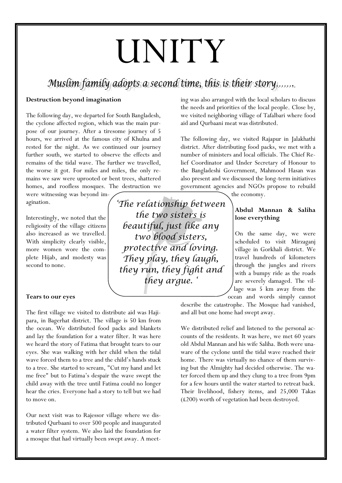## UNITY

### Muslim family adopts a second time, this is their story.......

#### **Destruction beyond imagination**

The following day, we departed for South Bangladesh, the cyclone affected region, which was the main purpose of our journey. After a tiresome journey of 5 hours, we arrived at the famous city of Khulna and rested for the night. As we continued our journey further south, we started to observe the effects and remains of the tidal wave. The further we travelled, the worse it got. For miles and miles, the only remains we saw were uprooted or bent trees, shattered homes, and roofless mosques. The destruction we

were witnessing was beyond imagination.

Interestingly, we noted that the religiosity of the village citizens also increased as we travelled. With simplicity clearly visible, more women wore the complete Hijab, and modesty was second to none.

#### **Tears to our eyes**

The first village we visited to distribute aid was Hajipara, in Bagerhat district. The village is 50 km from the ocean. We distributed food packs and blankets and lay the foundation for a water filter. It was here we heard the story of Fatima that brought tears to our eyes. She was walking with her child when the tidal wave forced them to a tree and the child's hands stuck to a tree. She started to scream, "Cut my hand and let me free" but to Fatima's despair the wave swept the child away with the tree until Fatima could no longer hear the cries. Everyone had a story to tell but we had to move on.

Our next visit was to Rajessor village where we distributed Qurbaani to over 500 people and inaugurated a water filter system. We also laid the foundation for a mosque that had virtually been swept away. A meeting was also arranged with the local scholars to discuss the needs and priorities of the local people. Close by, we visited neighboring village of Tafalbari where food aid and Qurbaani meat was distributed.

The following day, we visited Rajapur in Jalakhathi district. After distributing food packs, we met with a number of ministers and local officials. The Chief Relief Coordinator and Under Secretary of Honour to the Bangladeshi Government, Mahmood Hasan was also present and we discussed the long-term initiatives government agencies and NGOs propose to rebuild

the economy.

#### **Abdul Mannan & Saliha lose everything**

On the same day, we were scheduled to visit Mirzaganj village in Gorkhali district. We travel hundreds of kilometers through the jungles and rivers with a bumpy ride as the roads are severely damaged. The village was 5 km away from the ocean and words simply cannot

describe the catastrophe. The Mosque had vanished, and all but one home had swept away.

We distributed relief and listened to the personal accounts of the residents. It was here, we met 60 years old Abdul Mannan and his wife Saliha. Both were unaware of the cyclone until the tidal wave reached their home. There was virtually no chance of them surviving but the Almighty had decided otherwise. The water forced them up and they clung to a tree from 9pm for a few hours until the water started to retreat back. Their livelihood, fishery items, and 25,000 Takas (£200) worth of vegetation had been destroyed.

'The relationship between the two sisters is beautiful, just like any two blood sisters, protective and loving. They play, they laugh, they run, they fight and they argue.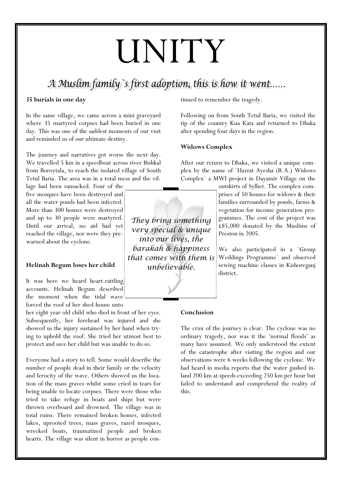# UNITY

A Muslim family s first adoption, this is how it went......

#### **35 burials in one day**

In the same village, we came across a mini graveyard where 35 martyred corpses had been buried in one day. This was one of the saddest moments of our visit and reminded us of our ultimate destiny.

The journey and narratives got worse the next day. We travelled 5 km in a speedboat across river Bishkal from Boroytala, to reach the isolated village of South Tetul Baria. The area was in a total mess and the vil-

lage had been ransacked. Four of the five mosques have been destroyed and all the water ponds had been infected. More than 300 homes were destroyed and up to 30 people were martyred. Until our arrival, no aid had yet reached the village, nor were they pre warned about the cyclone.

#### **Helinah Begum loses her child**

It was here we heard heart-rattling accounts. Helinah Begum described the moment when the tidal wave forced the roof of her shed-house unto

her eight year old child who died in front of her eyes. Subsequently, her forehead was injured and she showed us the injury sustained by her hand when trying to uphold the roof. She tried her utmost best to protect and save her child but was unable to do so.

Everyone had a story to tell. Some would describe the number of people dead in their family or the velocity and ferocity of the wave. Others showed us the location of the mass graves whilst some cried in tears for being unable to locate corpses. There were those who tried to take refuge in boats and ships but were thrown overboard and drowned. The village was in total ruins. There remained broken homes, infected lakes, uprooted trees, mass graves, razed mosques, wrecked boats, traumatized people and broken hearts. The village was silent in horror as people continued to remember the tragedy.

Following on from South Tetul Baria, we visited the tip of the country Kua Kata and returned to Dhaka after spending four days in the region.

#### **Widows Complex**

After our return to Dhaka, we visited a unique complex by the name of `Hazrat Ayesha (R.A.) Widows Complex` a MWI project in Dayamir Village on the

> outskirts of Sylhet. The complex comprises of 50 houses for widows & their families surrounded by ponds, farms & vegetation for income generation programmes. The cost of the project was £85,000 donated by the Muslims of Preston in 2005.

> We also participated in a `Group Weddings Programme` and observed sewing machine classes in Kishoreganj district.

#### **Conclusion**

The crux of the journey is clear. The cyclone was no ordinary tragedy, nor was it the 'normal floods' as many have assumed. We only understood the extent of the catastrophe after visiting the region and our observations were 6 weeks following the cyclone. We had heard in media reports that the water gushed inland 200 km at speeds exceeding 250 km per hour but failed to understand and comprehend the reality of this.

They bring something very special & unique into our lives, the barakah & happiness that comes with them is unbelievable.